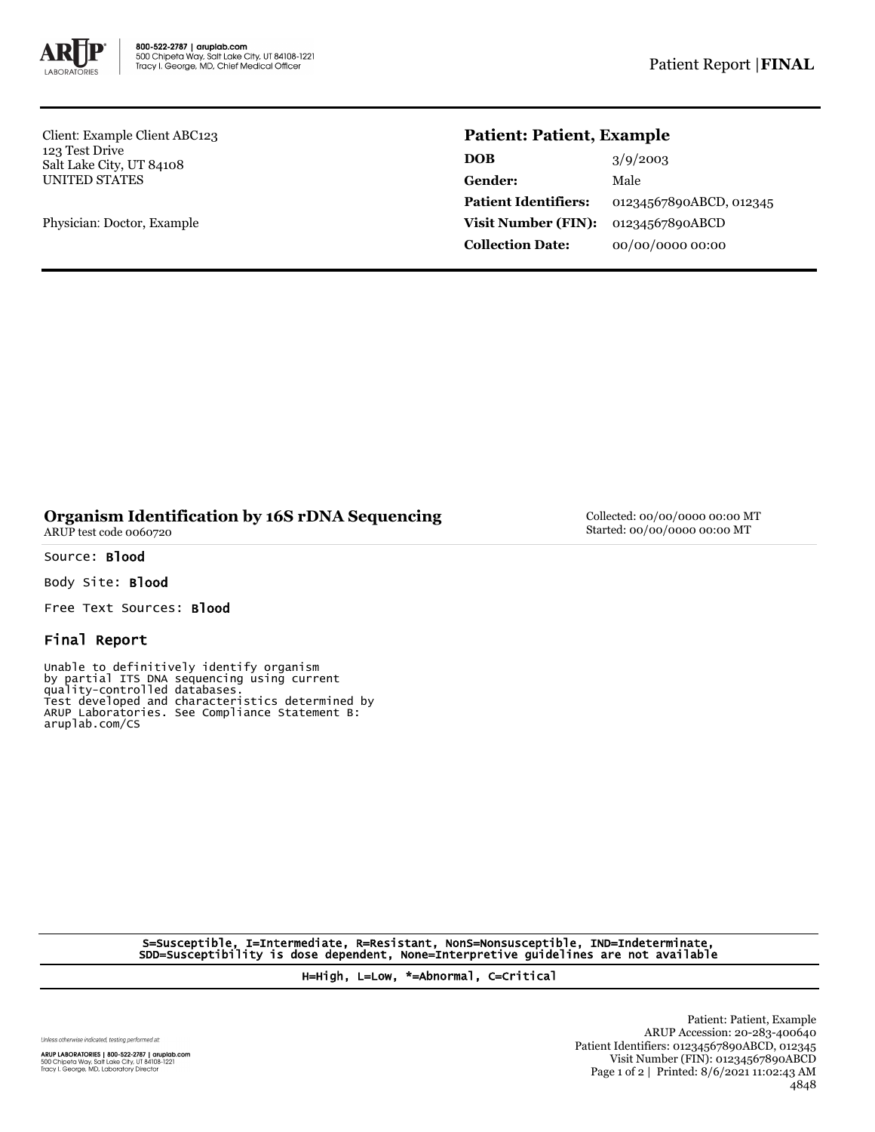

Client: Example Client ABC123 123 Test Drive Salt Lake City, UT 84108 UNITED STATES

Physician: Doctor, Example

## **Patient: Patient, Example**

| <b>DOB</b>                  | 3/9/2003                |
|-----------------------------|-------------------------|
| Gender:                     | Male                    |
| <b>Patient Identifiers:</b> | 01234567890ABCD, 012345 |
| <b>Visit Number (FIN):</b>  | 01234567890ABCD         |
| <b>Collection Date:</b>     | 00/00/0000 00:00        |

## **Organism Identification by 16S rDNA Sequencing** ARUP test code 0060720

Source: Blood

Body Site: Blood

Free Text Sources: Blood

## Final Report

Unable to definitively identify organism by partial ITS DNA sequencing using current quality-controlled databases. Test developed and characteristics determined by ARUP Laboratories. See Compliance Statement B: aruplab.com/CS

Collected: 00/00/0000 00:00 MT Started: 00/00/0000 00:00 MT

S=Susceptible, I=Intermediate, R=Resistant, NonS=Nonsusceptible, IND=Indeterminate, SDD=Susceptibility is dose dependent, None=Interpretive guidelines are not available

H=High, L=Low, \*=Abnormal, C=Critical

Unless otherwise indicated, testing performed at:

**ARUP LABORATORIES | 800-522-2787 | aruplab.com**<br>500 Chipeta Way, Salt Lake City, UT 84108-1221<br>Tracy I. George, MD, Laboratory Director

Patient: Patient, Example ARUP Accession: 20-283-400640 Patient Identifiers: 01234567890ABCD, 012345 Visit Number (FIN): 01234567890ABCD Page 1 of 2 | Printed: 8/6/2021 11:02:43 AM 4848